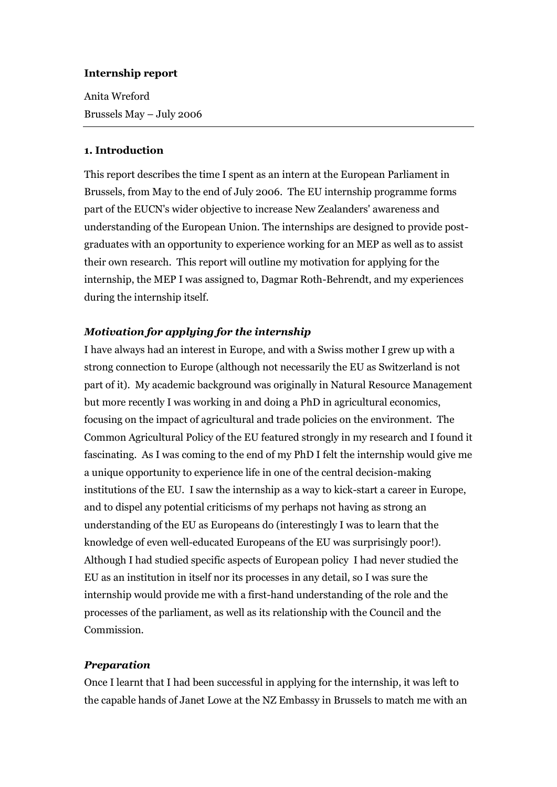### **Internship report**

Anita Wreford Brussels May – July 2006

### **1. Introduction**

This report describes the time I spent as an intern at the European Parliament in Brussels, from May to the end of July 2006. The EU internship programme forms part of the EUCN's wider objective to increase New Zealanders' awareness and understanding of the European Union. The internships are designed to provide postgraduates with an opportunity to experience working for an MEP as well as to assist their own research. This report will outline my motivation for applying for the internship, the MEP I was assigned to, Dagmar Roth-Behrendt, and my experiences during the internship itself.

# *Motivation for applying for the internship*

I have always had an interest in Europe, and with a Swiss mother I grew up with a strong connection to Europe (although not necessarily the EU as Switzerland is not part of it). My academic background was originally in Natural Resource Management but more recently I was working in and doing a PhD in agricultural economics, focusing on the impact of agricultural and trade policies on the environment. The Common Agricultural Policy of the EU featured strongly in my research and I found it fascinating. As I was coming to the end of my PhD I felt the internship would give me a unique opportunity to experience life in one of the central decision-making institutions of the EU. I saw the internship as a way to kick-start a career in Europe, and to dispel any potential criticisms of my perhaps not having as strong an understanding of the EU as Europeans do (interestingly I was to learn that the knowledge of even well-educated Europeans of the EU was surprisingly poor!). Although I had studied specific aspects of European policy I had never studied the EU as an institution in itself nor its processes in any detail, so I was sure the internship would provide me with a first-hand understanding of the role and the processes of the parliament, as well as its relationship with the Council and the Commission.

### *Preparation*

Once I learnt that I had been successful in applying for the internship, it was left to the capable hands of Janet Lowe at the NZ Embassy in Brussels to match me with an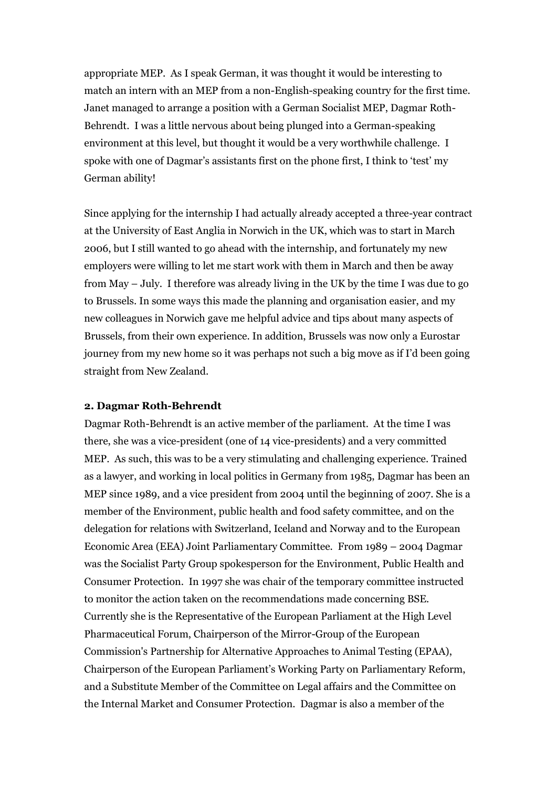appropriate MEP. As I speak German, it was thought it would be interesting to match an intern with an MEP from a non-English-speaking country for the first time. Janet managed to arrange a position with a German Socialist MEP, Dagmar Roth-Behrendt. I was a little nervous about being plunged into a German-speaking environment at this level, but thought it would be a very worthwhile challenge. I spoke with one of Dagmar's assistants first on the phone first, I think to 'test' my German ability!

Since applying for the internship I had actually already accepted a three-year contract at the University of East Anglia in Norwich in the UK, which was to start in March 2006, but I still wanted to go ahead with the internship, and fortunately my new employers were willing to let me start work with them in March and then be away from May – July. I therefore was already living in the UK by the time I was due to go to Brussels. In some ways this made the planning and organisation easier, and my new colleagues in Norwich gave me helpful advice and tips about many aspects of Brussels, from their own experience. In addition, Brussels was now only a Eurostar journey from my new home so it was perhaps not such a big move as if I'd been going straight from New Zealand.

### **2. Dagmar Roth-Behrendt**

Dagmar Roth-Behrendt is an active member of the parliament. At the time I was there, she was a vice-president (one of 14 vice-presidents) and a very committed MEP. As such, this was to be a very stimulating and challenging experience. Trained as a lawyer, and working in local politics in Germany from 1985, Dagmar has been an MEP since 1989, and a vice president from 2004 until the beginning of 2007. She is a member of the Environment, public health and food safety committee, and on the delegation for relations with Switzerland, Iceland and Norway and to the European Economic Area (EEA) Joint Parliamentary Committee. From 1989 – 2004 Dagmar was the Socialist Party Group spokesperson for the Environment, Public Health and Consumer Protection. In 1997 she was chair of the temporary committee instructed to monitor the action taken on the recommendations made concerning BSE. Currently she is the Representative of the European Parliament at the High Level Pharmaceutical Forum, Chairperson of the Mirror-Group of the European Commission's Partnership for Alternative Approaches to Animal Testing (EPAA), Chairperson of the European Parliament's Working Party on Parliamentary Reform, and a Substitute Member of the Committee on Legal affairs and the Committee on the Internal Market and Consumer Protection. Dagmar is also a member of the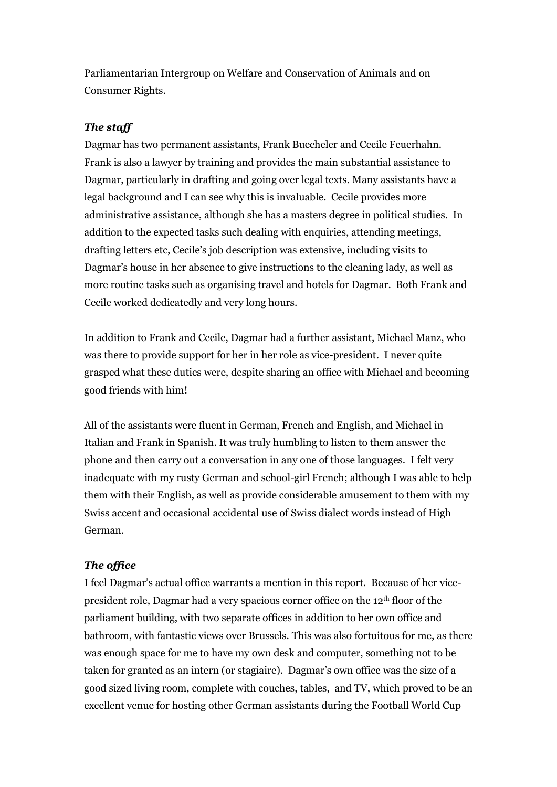Parliamentarian Intergroup on Welfare and Conservation of Animals and on Consumer Rights.

# *The staff*

Dagmar has two permanent assistants, Frank Buecheler and Cecile Feuerhahn. Frank is also a lawyer by training and provides the main substantial assistance to Dagmar, particularly in drafting and going over legal texts. Many assistants have a legal background and I can see why this is invaluable. Cecile provides more administrative assistance, although she has a masters degree in political studies. In addition to the expected tasks such dealing with enquiries, attending meetings, drafting letters etc, Cecile's job description was extensive, including visits to Dagmar's house in her absence to give instructions to the cleaning lady, as well as more routine tasks such as organising travel and hotels for Dagmar. Both Frank and Cecile worked dedicatedly and very long hours.

In addition to Frank and Cecile, Dagmar had a further assistant, Michael Manz, who was there to provide support for her in her role as vice-president. I never quite grasped what these duties were, despite sharing an office with Michael and becoming good friends with him!

All of the assistants were fluent in German, French and English, and Michael in Italian and Frank in Spanish. It was truly humbling to listen to them answer the phone and then carry out a conversation in any one of those languages. I felt very inadequate with my rusty German and school-girl French; although I was able to help them with their English, as well as provide considerable amusement to them with my Swiss accent and occasional accidental use of Swiss dialect words instead of High German.

# *The office*

I feel Dagmar's actual office warrants a mention in this report. Because of her vicepresident role, Dagmar had a very spacious corner office on the 12th floor of the parliament building, with two separate offices in addition to her own office and bathroom, with fantastic views over Brussels. This was also fortuitous for me, as there was enough space for me to have my own desk and computer, something not to be taken for granted as an intern (or stagiaire). Dagmar's own office was the size of a good sized living room, complete with couches, tables, and TV, which proved to be an excellent venue for hosting other German assistants during the Football World Cup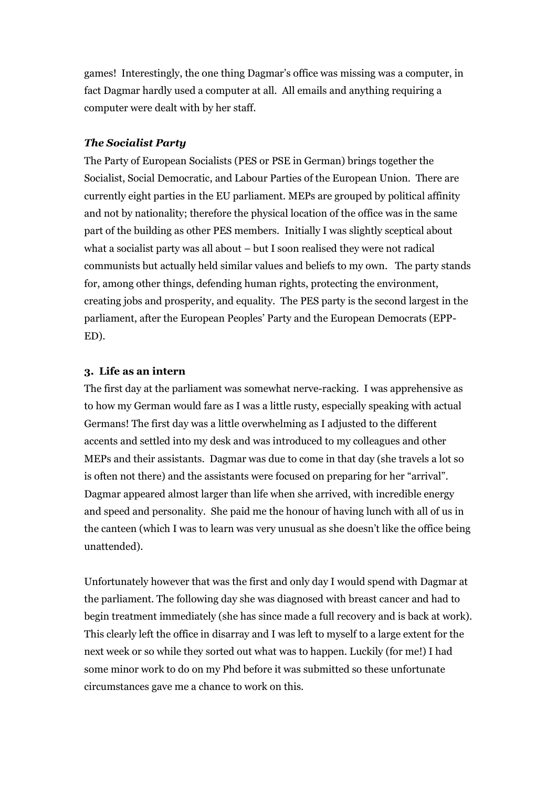games! Interestingly, the one thing Dagmar's office was missing was a computer, in fact Dagmar hardly used a computer at all. All emails and anything requiring a computer were dealt with by her staff.

## *The Socialist Party*

The Party of European Socialists (PES or PSE in German) brings together the Socialist, Social Democratic, and Labour Parties of the European Union. There are currently eight parties in the EU parliament. MEPs are grouped by political affinity and not by nationality; therefore the physical location of the office was in the same part of the building as other PES members. Initially I was slightly sceptical about what a socialist party was all about – but I soon realised they were not radical communists but actually held similar values and beliefs to my own. The party stands for, among other things, defending human rights, protecting the environment, creating jobs and prosperity, and equality. The PES party is the second largest in the parliament, after the European Peoples' Party and the European Democrats (EPP-ED).

### **3. Life as an intern**

The first day at the parliament was somewhat nerve-racking. I was apprehensive as to how my German would fare as I was a little rusty, especially speaking with actual Germans! The first day was a little overwhelming as I adjusted to the different accents and settled into my desk and was introduced to my colleagues and other MEPs and their assistants. Dagmar was due to come in that day (she travels a lot so is often not there) and the assistants were focused on preparing for her "arrival". Dagmar appeared almost larger than life when she arrived, with incredible energy and speed and personality. She paid me the honour of having lunch with all of us in the canteen (which I was to learn was very unusual as she doesn't like the office being unattended).

Unfortunately however that was the first and only day I would spend with Dagmar at the parliament. The following day she was diagnosed with breast cancer and had to begin treatment immediately (she has since made a full recovery and is back at work). This clearly left the office in disarray and I was left to myself to a large extent for the next week or so while they sorted out what was to happen. Luckily (for me!) I had some minor work to do on my Phd before it was submitted so these unfortunate circumstances gave me a chance to work on this.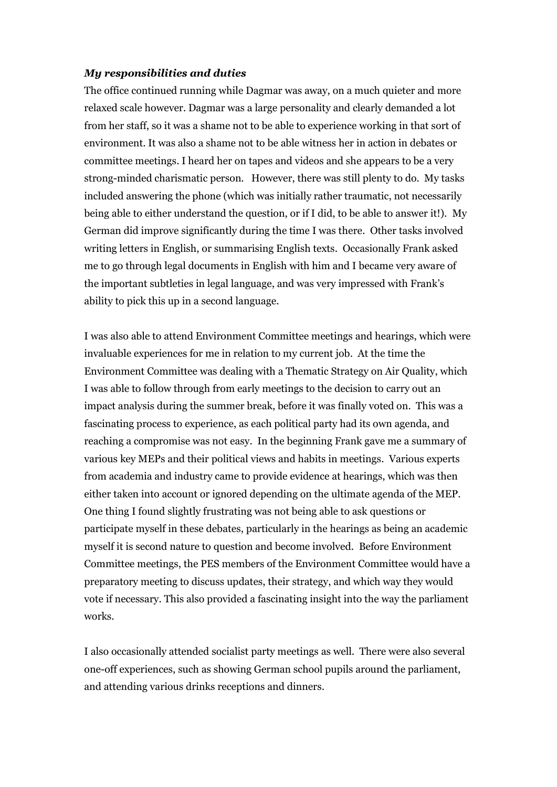### *My responsibilities and duties*

The office continued running while Dagmar was away, on a much quieter and more relaxed scale however. Dagmar was a large personality and clearly demanded a lot from her staff, so it was a shame not to be able to experience working in that sort of environment. It was also a shame not to be able witness her in action in debates or committee meetings. I heard her on tapes and videos and she appears to be a very strong-minded charismatic person. However, there was still plenty to do. My tasks included answering the phone (which was initially rather traumatic, not necessarily being able to either understand the question, or if I did, to be able to answer it!). My German did improve significantly during the time I was there. Other tasks involved writing letters in English, or summarising English texts. Occasionally Frank asked me to go through legal documents in English with him and I became very aware of the important subtleties in legal language, and was very impressed with Frank's ability to pick this up in a second language.

I was also able to attend Environment Committee meetings and hearings, which were invaluable experiences for me in relation to my current job. At the time the Environment Committee was dealing with a Thematic Strategy on Air Quality, which I was able to follow through from early meetings to the decision to carry out an impact analysis during the summer break, before it was finally voted on. This was a fascinating process to experience, as each political party had its own agenda, and reaching a compromise was not easy. In the beginning Frank gave me a summary of various key MEPs and their political views and habits in meetings. Various experts from academia and industry came to provide evidence at hearings, which was then either taken into account or ignored depending on the ultimate agenda of the MEP. One thing I found slightly frustrating was not being able to ask questions or participate myself in these debates, particularly in the hearings as being an academic myself it is second nature to question and become involved. Before Environment Committee meetings, the PES members of the Environment Committee would have a preparatory meeting to discuss updates, their strategy, and which way they would vote if necessary. This also provided a fascinating insight into the way the parliament works.

I also occasionally attended socialist party meetings as well. There were also several one-off experiences, such as showing German school pupils around the parliament, and attending various drinks receptions and dinners.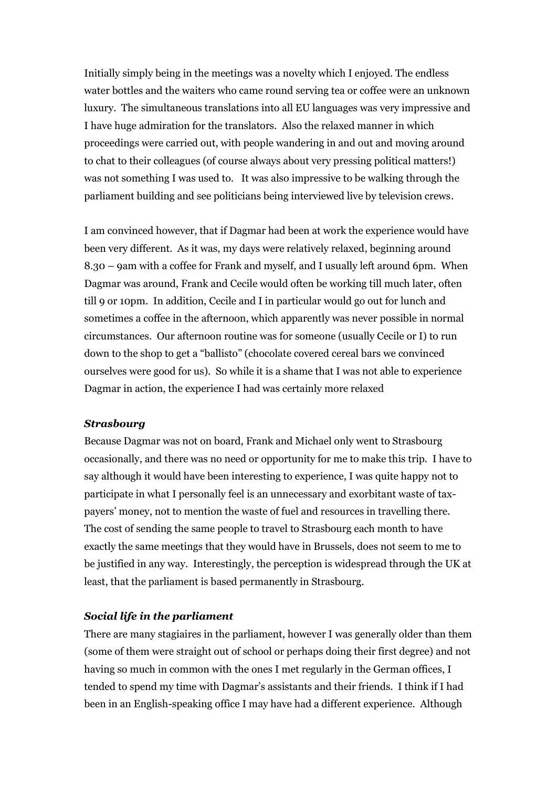Initially simply being in the meetings was a novelty which I enjoyed. The endless water bottles and the waiters who came round serving tea or coffee were an unknown luxury. The simultaneous translations into all EU languages was very impressive and I have huge admiration for the translators. Also the relaxed manner in which proceedings were carried out, with people wandering in and out and moving around to chat to their colleagues (of course always about very pressing political matters!) was not something I was used to. It was also impressive to be walking through the parliament building and see politicians being interviewed live by television crews.

I am convinced however, that if Dagmar had been at work the experience would have been very different. As it was, my days were relatively relaxed, beginning around 8.30 – 9am with a coffee for Frank and myself, and I usually left around 6pm. When Dagmar was around, Frank and Cecile would often be working till much later, often till 9 or 10pm. In addition, Cecile and I in particular would go out for lunch and sometimes a coffee in the afternoon, which apparently was never possible in normal circumstances. Our afternoon routine was for someone (usually Cecile or I) to run down to the shop to get a "ballisto" (chocolate covered cereal bars we convinced ourselves were good for us). So while it is a shame that I was not able to experience Dagmar in action, the experience I had was certainly more relaxed

### *Strasbourg*

Because Dagmar was not on board, Frank and Michael only went to Strasbourg occasionally, and there was no need or opportunity for me to make this trip. I have to say although it would have been interesting to experience, I was quite happy not to participate in what I personally feel is an unnecessary and exorbitant waste of taxpayers' money, not to mention the waste of fuel and resources in travelling there. The cost of sending the same people to travel to Strasbourg each month to have exactly the same meetings that they would have in Brussels, does not seem to me to be justified in any way. Interestingly, the perception is widespread through the UK at least, that the parliament is based permanently in Strasbourg.

### *Social life in the parliament*

There are many stagiaires in the parliament, however I was generally older than them (some of them were straight out of school or perhaps doing their first degree) and not having so much in common with the ones I met regularly in the German offices, I tended to spend my time with Dagmar's assistants and their friends. I think if I had been in an English-speaking office I may have had a different experience. Although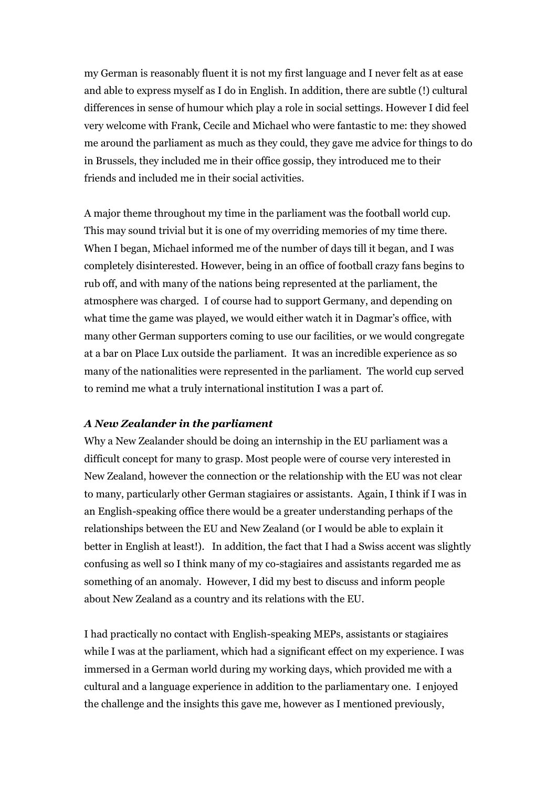my German is reasonably fluent it is not my first language and I never felt as at ease and able to express myself as I do in English. In addition, there are subtle (!) cultural differences in sense of humour which play a role in social settings. However I did feel very welcome with Frank, Cecile and Michael who were fantastic to me: they showed me around the parliament as much as they could, they gave me advice for things to do in Brussels, they included me in their office gossip, they introduced me to their friends and included me in their social activities.

A major theme throughout my time in the parliament was the football world cup. This may sound trivial but it is one of my overriding memories of my time there. When I began, Michael informed me of the number of days till it began, and I was completely disinterested. However, being in an office of football crazy fans begins to rub off, and with many of the nations being represented at the parliament, the atmosphere was charged. I of course had to support Germany, and depending on what time the game was played, we would either watch it in Dagmar's office, with many other German supporters coming to use our facilities, or we would congregate at a bar on Place Lux outside the parliament. It was an incredible experience as so many of the nationalities were represented in the parliament. The world cup served to remind me what a truly international institution I was a part of.

### *A New Zealander in the parliament*

Why a New Zealander should be doing an internship in the EU parliament was a difficult concept for many to grasp. Most people were of course very interested in New Zealand, however the connection or the relationship with the EU was not clear to many, particularly other German stagiaires or assistants. Again, I think if I was in an English-speaking office there would be a greater understanding perhaps of the relationships between the EU and New Zealand (or I would be able to explain it better in English at least!). In addition, the fact that I had a Swiss accent was slightly confusing as well so I think many of my co-stagiaires and assistants regarded me as something of an anomaly. However, I did my best to discuss and inform people about New Zealand as a country and its relations with the EU.

I had practically no contact with English-speaking MEPs, assistants or stagiaires while I was at the parliament, which had a significant effect on my experience. I was immersed in a German world during my working days, which provided me with a cultural and a language experience in addition to the parliamentary one. I enjoyed the challenge and the insights this gave me, however as I mentioned previously,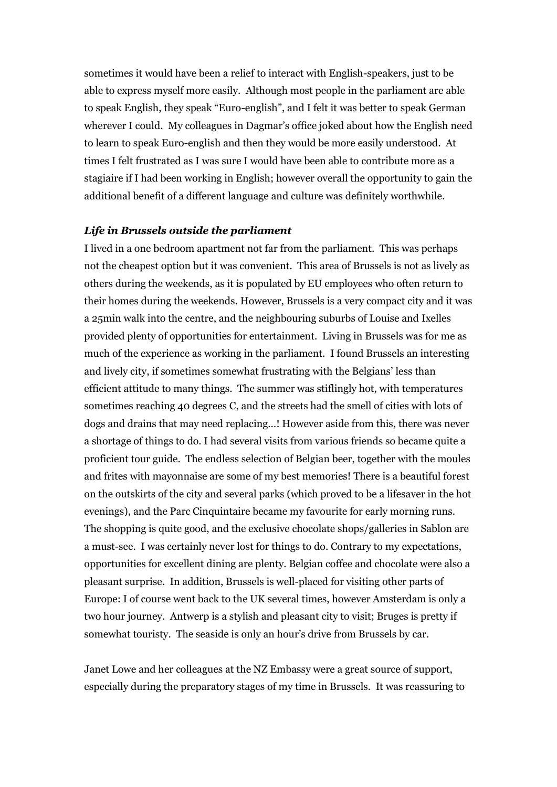sometimes it would have been a relief to interact with English-speakers, just to be able to express myself more easily. Although most people in the parliament are able to speak English, they speak "Euro-english", and I felt it was better to speak German wherever I could. My colleagues in Dagmar's office joked about how the English need to learn to speak Euro-english and then they would be more easily understood. At times I felt frustrated as I was sure I would have been able to contribute more as a stagiaire if I had been working in English; however overall the opportunity to gain the additional benefit of a different language and culture was definitely worthwhile.

### *Life in Brussels outside the parliament*

I lived in a one bedroom apartment not far from the parliament. This was perhaps not the cheapest option but it was convenient. This area of Brussels is not as lively as others during the weekends, as it is populated by EU employees who often return to their homes during the weekends. However, Brussels is a very compact city and it was a 25min walk into the centre, and the neighbouring suburbs of Louise and Ixelles provided plenty of opportunities for entertainment. Living in Brussels was for me as much of the experience as working in the parliament. I found Brussels an interesting and lively city, if sometimes somewhat frustrating with the Belgians' less than efficient attitude to many things. The summer was stiflingly hot, with temperatures sometimes reaching 40 degrees C, and the streets had the smell of cities with lots of dogs and drains that may need replacing…! However aside from this, there was never a shortage of things to do. I had several visits from various friends so became quite a proficient tour guide. The endless selection of Belgian beer, together with the moules and frites with mayonnaise are some of my best memories! There is a beautiful forest on the outskirts of the city and several parks (which proved to be a lifesaver in the hot evenings), and the Parc Cinquintaire became my favourite for early morning runs. The shopping is quite good, and the exclusive chocolate shops/galleries in Sablon are a must-see. I was certainly never lost for things to do. Contrary to my expectations, opportunities for excellent dining are plenty. Belgian coffee and chocolate were also a pleasant surprise. In addition, Brussels is well-placed for visiting other parts of Europe: I of course went back to the UK several times, however Amsterdam is only a two hour journey. Antwerp is a stylish and pleasant city to visit; Bruges is pretty if somewhat touristy. The seaside is only an hour's drive from Brussels by car.

Janet Lowe and her colleagues at the NZ Embassy were a great source of support, especially during the preparatory stages of my time in Brussels. It was reassuring to